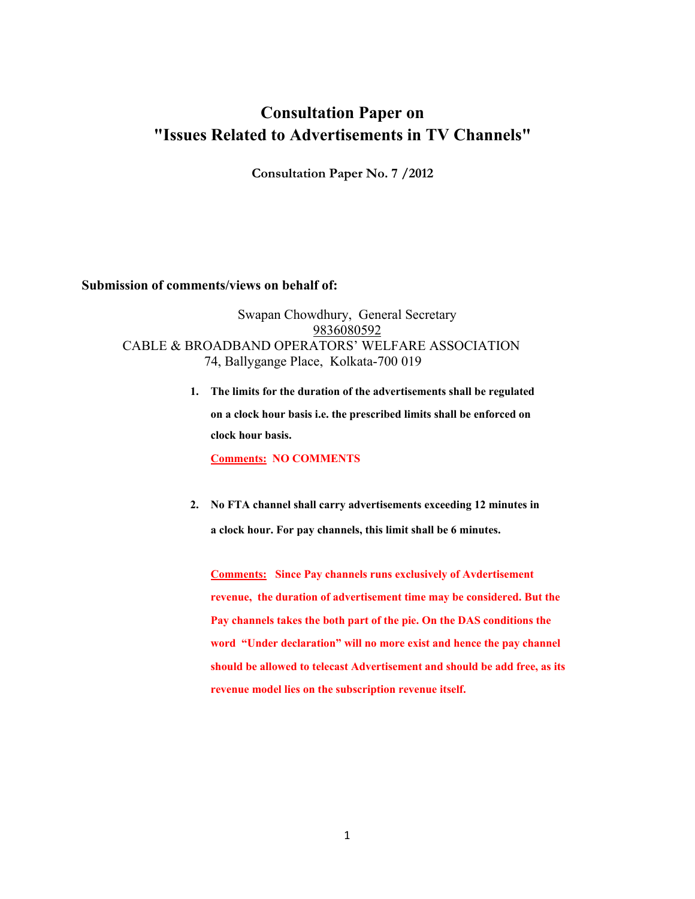## **Consultation Paper on "Issues Related to Advertisements in TV Channels"**

**Consultation Paper No. 7 /2012** 

## **Submission of comments/views on behalf of:**

Swapan Chowdhury, General Secretary 9836080592 CABLE & BROADBAND OPERATORS' WELFARE ASSOCIATION 74, Ballygange Place, Kolkata-700 019

> **1. The limits for the duration of the advertisements shall be regulated on a clock hour basis i.e. the prescribed limits shall be enforced on clock hour basis.**

**Comments: NO COMMENTS** 

**2. No FTA channel shall carry advertisements exceeding 12 minutes in a clock hour. For pay channels, this limit shall be 6 minutes.** 

**Comments: Since Pay channels runs exclusively of Avdertisement revenue, the duration of advertisement time may be considered. But the Pay channels takes the both part of the pie. On the DAS conditions the word "Under declaration" will no more exist and hence the pay channel should be allowed to telecast Advertisement and should be add free, as its revenue model lies on the subscription revenue itself.**